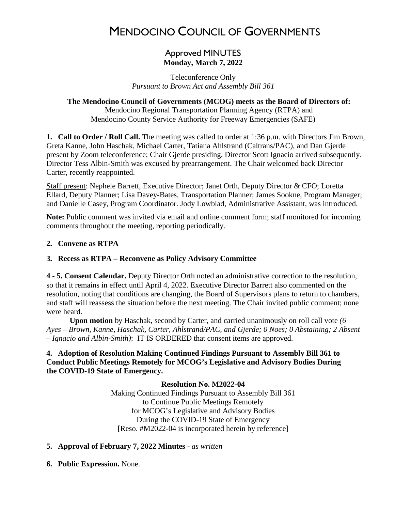# MENDOCINO COUNCIL OF GOVERNMENTS

# Approved MINUTES **Monday, March 7, 2022**

Teleconference Only *Pursuant to Brown Act and Assembly Bill 361* 

# **The Mendocino Council of Governments (MCOG) meets as the Board of Directors of:**

Mendocino Regional Transportation Planning Agency (RTPA) and Mendocino County Service Authority for Freeway Emergencies (SAFE)

**1. Call to Order / Roll Call.** The meeting was called to order at 1:36 p.m. with Directors Jim Brown, Greta Kanne, John Haschak, Michael Carter, Tatiana Ahlstrand (Caltrans/PAC), and Dan Gjerde present by Zoom teleconference; Chair Gjerde presiding. Director Scott Ignacio arrived subsequently. Director Tess Albin-Smith was excused by prearrangement. The Chair welcomed back Director Carter, recently reappointed.

Staff present: Nephele Barrett, Executive Director; Janet Orth, Deputy Director & CFO; Loretta Ellard, Deputy Planner; Lisa Davey-Bates, Transportation Planner; James Sookne, Program Manager; and Danielle Casey, Program Coordinator. Jody Lowblad, Administrative Assistant, was introduced.

**Note:** Public comment was invited via email and online comment form; staff monitored for incoming comments throughout the meeting, reporting periodically.

## **2. Convene as RTPA**

## **3. Recess as RTPA – Reconvene as Policy Advisory Committee**

**4 - 5. Consent Calendar.** Deputy Director Orth noted an administrative correction to the resolution, so that it remains in effect until April 4, 2022. Executive Director Barrett also commented on the resolution, noting that conditions are changing, the Board of Supervisors plans to return to chambers, and staff will reassess the situation before the next meeting. The Chair invited public comment; none were heard.

**Upon motion** by Haschak, second by Carter, and carried unanimously on roll call vote *(6 Ayes – Brown, Kanne, Haschak, Carter, Ahlstrand/PAC, and Gjerde; 0 Noes; 0 Abstaining; 2 Absent – Ignacio and Albin-Smith)*: IT IS ORDERED that consent items are approved.

## **4. Adoption of Resolution Making Continued Findings Pursuant to Assembly Bill 361 to Conduct Public Meetings Remotely for MCOG's Legislative and Advisory Bodies During the COVID-19 State of Emergency.**

#### **Resolution No. M2022-04**

Making Continued Findings Pursuant to Assembly Bill 361 to Continue Public Meetings Remotely for MCOG's Legislative and Advisory Bodies During the COVID-19 State of Emergency [Reso. #M2022-04 is incorporated herein by reference]

#### **5. Approval of February 7, 2022 Minutes** - *as written*

**6. Public Expression.** None.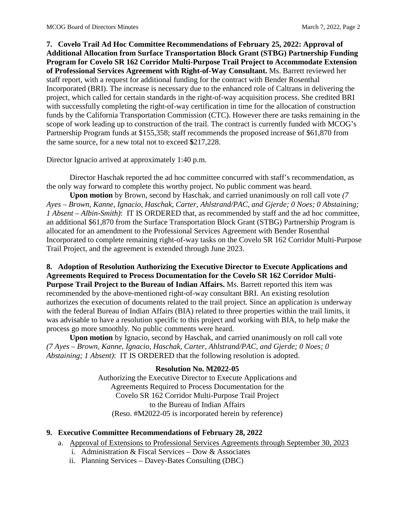**7. Covelo Trail Ad Hoc Committee Recommendations of February 25, 2022: Approval of Additional Allocation from Surface Transportation Block Grant (STBG) Partnership Funding Program for Covelo SR 162 Corridor Multi-Purpose Trail Project to Accommodate Extension of Professional Services Agreement with Right-of-Way Consultant.** Ms. Barrett reviewed her staff report, with a request for additional funding for the contract with Bender Rosenthal Incorporated (BRI). The increase is necessary due to the enhanced role of Caltrans in delivering the project, which called for certain standards in the right-of-way acquisition process. She credited BRI with successfully completing the right-of-way certification in time for the allocation of construction funds by the California Transportation Commission (CTC). However there are tasks remaining in the scope of work leading up to construction of the trail. The contract is currently funded with MCOG's Partnership Program funds at \$155,358; staff recommends the proposed increase of \$61,870 from the same source, for a new total not to exceed **\$**217,228.

Director Ignacio arrived at approximately 1:40 p.m.

Director Haschak reported the ad hoc committee concurred with staff's recommendation, as the only way forward to complete this worthy project. No public comment was heard.

**Upon motion** by Brown, second by Haschak, and carried unanimously on roll call vote *(7 Ayes – Brown, Kanne, Ignacio, Haschak, Carter, Ahlstrand/PAC, and Gjerde; 0 Noes; 0 Abstaining; 1 Absent – Albin-Smith)*: IT IS ORDERED that, as recommended by staff and the ad hoc committee, an additional \$61,870 from the Surface Transportation Block Grant (STBG) Partnership Program is allocated for an amendment to the Professional Services Agreement with Bender Rosenthal Incorporated to complete remaining right-of-way tasks on the Covelo SR 162 Corridor Multi-Purpose Trail Project, and the agreement is extended through June 2023.

**8. Adoption of Resolution Authorizing the Executive Director to Execute Applications and Agreements Required to Process Documentation for the Covelo SR 162 Corridor Multi-Purpose Trail Project to the Bureau of Indian Affairs.** Ms. Barrett reported this item was recommended by the above-mentioned right-of-way consultant BRI. An existing resolution authorizes the execution of documents related to the trail project. Since an application is underway with the federal Bureau of Indian Affairs (BIA) related to three properties within the trail limits, it was advisable to have a resolution specific to this project and working with BIA, to help make the process go more smoothly. No public comments were heard.

**Upon motion** by Ignacio, second by Haschak, and carried unanimously on roll call vote *(7 Ayes – Brown, Kanne, Ignacio, Haschak, Carter, Ahlstrand/PAC, and Gjerde; 0 Noes; 0 Abstaining; 1 Absent)*: IT IS ORDERED that the following resolution is adopted.

# **Resolution No. M2022-05**

Authorizing the Executive Director to Execute Applications and Agreements Required to Process Documentation for the Covelo SR 162 Corridor Multi-Purpose Trail Project to the Bureau of Indian Affairs (Reso. #M2022-05 is incorporated herein by reference)

# **9. Executive Committee Recommendations of February 28, 2022**

- a. Approval of Extensions to Professional Services Agreements through September 30, 2023
	- i. Administration & Fiscal Services Dow & Associates
	- ii. Planning Services Davey-Bates Consulting (DBC)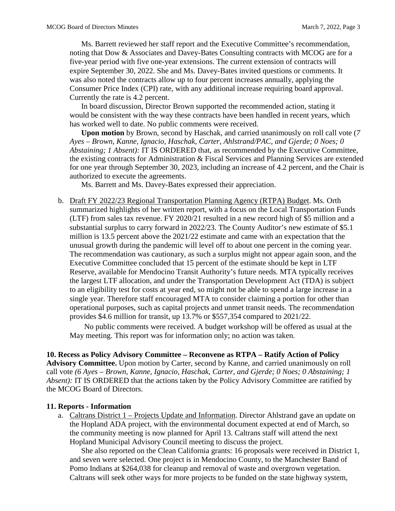Ms. Barrett reviewed her staff report and the Executive Committee's recommendation, noting that Dow & Associates and Davey-Bates Consulting contracts with MCOG are for a five-year period with five one-year extensions. The current extension of contracts will expire September 30, 2022. She and Ms. Davey-Bates invited questions or comments. It was also noted the contracts allow up to four percent increases annually, applying the Consumer Price Index (CPI) rate, with any additional increase requiring board approval. Currently the rate is 4.2 percent.

In board discussion, Director Brown supported the recommended action, stating it would be consistent with the way these contracts have been handled in recent years, which has worked well to date. No public comments were received.

**Upon motion** by Brown, second by Haschak, and carried unanimously on roll call vote (*7 Ayes – Brown, Kanne, Ignacio, Haschak, Carter, Ahlstrand/PAC, and Gjerde; 0 Noes; 0 Abstaining; 1 Absent):* IT IS ORDERED that, as recommended by the Executive Committee, the existing contracts for Administration & Fiscal Services and Planning Services are extended for one year through September 30, 2023, including an increase of 4.2 percent, and the Chair is authorized to execute the agreements.

Ms. Barrett and Ms. Davey-Bates expressed their appreciation.

b. Draft FY 2022/23 Regional Transportation Planning Agency (RTPA) Budget. Ms. Orth summarized highlights of her written report, with a focus on the Local Transportation Funds (LTF) from sales tax revenue. FY 2020/21 resulted in a new record high of \$5 million and a substantial surplus to carry forward in 2022/23. The County Auditor's new estimate of \$5.1 million is 13.5 percent above the 2021/22 estimate and came with an expectation that the unusual growth during the pandemic will level off to about one percent in the coming year. The recommendation was cautionary, as such a surplus might not appear again soon, and the Executive Committee concluded that 15 percent of the estimate should be kept in LTF Reserve, available for Mendocino Transit Authority's future needs. MTA typically receives the largest LTF allocation, and under the Transportation Development Act (TDA) is subject to an eligibility test for costs at year end, so might not be able to spend a large increase in a single year. Therefore staff encouraged MTA to consider claiming a portion for other than operational purposes, such as capital projects and unmet transit needs. The recommendation provides \$4.6 million for transit, up 13.7% or \$557,354 compared to 2021/22.

No public comments were received. A budget workshop will be offered as usual at the May meeting. This report was for information only; no action was taken.

**10. Recess as Policy Advisory Committee – Reconvene as RTPA – Ratify Action of Policy Advisory Committee.** Upon motion by Carter, second by Kanne, and carried unanimously on roll call vote *(6 Ayes – Brown, Kanne, Ignacio, Haschak, Carter, and Gjerde; 0 Noes; 0 Abstaining; 1 Absent):* IT IS ORDERED that the actions taken by the Policy Advisory Committee are ratified by the MCOG Board of Directors.

#### **11. Reports - Information**

a. Caltrans District 1 – Projects Update and Information. Director Ahlstrand gave an update on the Hopland ADA project, with the environmental document expected at end of March, so the community meeting is now planned for April 13. Caltrans staff will attend the next Hopland Municipal Advisory Council meeting to discuss the project.

She also reported on the Clean California grants: 16 proposals were received in District 1, and seven were selected. One project is in Mendocino County, to the Manchester Band of Pomo Indians at \$264,038 for cleanup and removal of waste and overgrown vegetation. Caltrans will seek other ways for more projects to be funded on the state highway system,